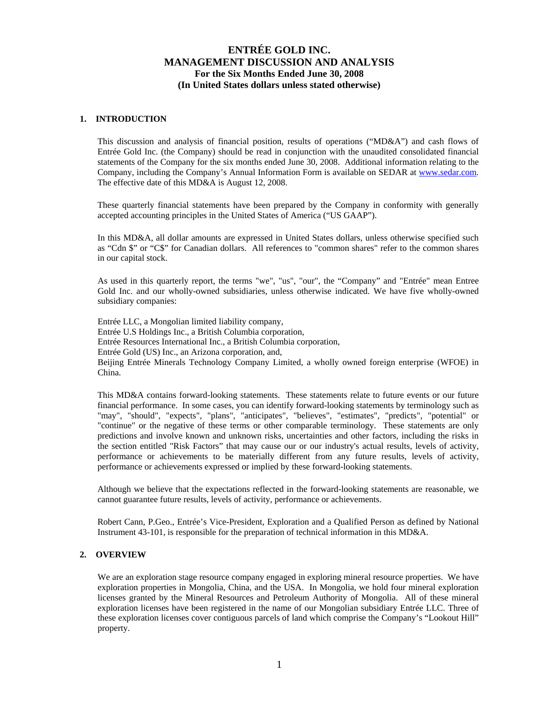## **1. INTRODUCTION**

This discussion and analysis of financial position, results of operations ("MD&A") and cash flows of Entrée Gold Inc. (the Company) should be read in conjunction with the unaudited consolidated financial statements of the Company for the six months ended June 30, 2008. Additional information relating to the Company, including the Company's Annual Information Form is available on SEDAR at www.sedar.com. The effective date of this MD&A is August 12, 2008.

These quarterly financial statements have been prepared by the Company in conformity with generally accepted accounting principles in the United States of America ("US GAAP").

In this MD&A, all dollar amounts are expressed in United States dollars, unless otherwise specified such as "Cdn \$" or "C\$" for Canadian dollars. All references to "common shares" refer to the common shares in our capital stock.

As used in this quarterly report, the terms "we", "us", "our", the "Company" and "Entrée" mean Entree Gold Inc. and our wholly-owned subsidiaries, unless otherwise indicated. We have five wholly-owned subsidiary companies:

Entrée LLC, a Mongolian limited liability company, Entrée U.S Holdings Inc., a British Columbia corporation, Entrée Resources International Inc., a British Columbia corporation, Entrée Gold (US) Inc., an Arizona corporation, and, Beijing Entrée Minerals Technology Company Limited, a wholly owned foreign enterprise (WFOE) in China.

This MD&A contains forward-looking statements. These statements relate to future events or our future financial performance. In some cases, you can identify forward-looking statements by terminology such as "may", "should", "expects", "plans", "anticipates", "believes", "estimates", "predicts", "potential" or "continue" or the negative of these terms or other comparable terminology. These statements are only predictions and involve known and unknown risks, uncertainties and other factors, including the risks in the section entitled "Risk Factors" that may cause our or our industry's actual results, levels of activity, performance or achievements to be materially different from any future results, levels of activity, performance or achievements expressed or implied by these forward-looking statements.

Although we believe that the expectations reflected in the forward-looking statements are reasonable, we cannot guarantee future results, levels of activity, performance or achievements.

Robert Cann, P.Geo., Entrée's Vice-President, Exploration and a Qualified Person as defined by National Instrument 43-101, is responsible for the preparation of technical information in this MD&A.

## **2. OVERVIEW**

We are an exploration stage resource company engaged in exploring mineral resource properties. We have exploration properties in Mongolia, China, and the USA. In Mongolia, we hold four mineral exploration licenses granted by the Mineral Resources and Petroleum Authority of Mongolia. All of these mineral exploration licenses have been registered in the name of our Mongolian subsidiary Entrée LLC. Three of these exploration licenses cover contiguous parcels of land which comprise the Company's "Lookout Hill" property.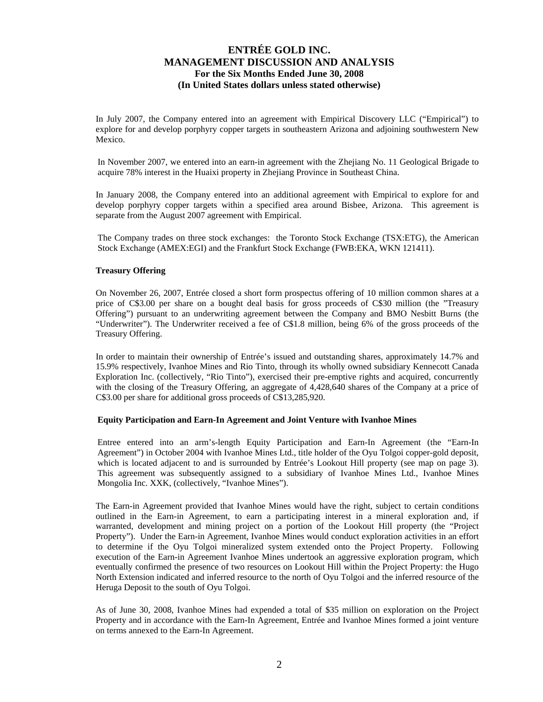In July 2007, the Company entered into an agreement with Empirical Discovery LLC ("Empirical") to explore for and develop porphyry copper targets in southeastern Arizona and adjoining southwestern New Mexico.

In November 2007, we entered into an earn-in agreement with the Zhejiang No. 11 Geological Brigade to acquire 78% interest in the Huaixi property in Zhejiang Province in Southeast China.

In January 2008, the Company entered into an additional agreement with Empirical to explore for and develop porphyry copper targets within a specified area around Bisbee, Arizona. This agreement is separate from the August 2007 agreement with Empirical.

The Company trades on three stock exchanges: the Toronto Stock Exchange (TSX:ETG), the American Stock Exchange (AMEX:EGI) and the Frankfurt Stock Exchange (FWB:EKA, WKN 121411).

## **Treasury Offering**

On November 26, 2007, Entrée closed a short form prospectus offering of 10 million common shares at a price of C\$3.00 per share on a bought deal basis for gross proceeds of C\$30 million (the "Treasury Offering") pursuant to an underwriting agreement between the Company and BMO Nesbitt Burns (the "Underwriter"). The Underwriter received a fee of C\$1.8 million, being 6% of the gross proceeds of the Treasury Offering.

In order to maintain their ownership of Entrée's issued and outstanding shares, approximately 14.7% and 15.9% respectively, Ivanhoe Mines and Rio Tinto, through its wholly owned subsidiary Kennecott Canada Exploration Inc. (collectively, "Rio Tinto"), exercised their pre-emptive rights and acquired, concurrently with the closing of the Treasury Offering, an aggregate of 4,428,640 shares of the Company at a price of C\$3.00 per share for additional gross proceeds of C\$13,285,920.

## **Equity Participation and Earn-In Agreement and Joint Venture with Ivanhoe Mines**

Entree entered into an arm's-length Equity Participation and Earn-In Agreement (the "Earn-In Agreement") in October 2004 with Ivanhoe Mines Ltd., title holder of the Oyu Tolgoi copper-gold deposit, which is located adjacent to and is surrounded by Entrée's Lookout Hill property (see map on page 3). This agreement was subsequently assigned to a subsidiary of Ivanhoe Mines Ltd., Ivanhoe Mines Mongolia Inc. XXK, (collectively, "Ivanhoe Mines").

The Earn-in Agreement provided that Ivanhoe Mines would have the right, subject to certain conditions outlined in the Earn-in Agreement, to earn a participating interest in a mineral exploration and, if warranted, development and mining project on a portion of the Lookout Hill property (the "Project Property"). Under the Earn-in Agreement, Ivanhoe Mines would conduct exploration activities in an effort to determine if the Oyu Tolgoi mineralized system extended onto the Project Property. Following execution of the Earn-in Agreement Ivanhoe Mines undertook an aggressive exploration program, which eventually confirmed the presence of two resources on Lookout Hill within the Project Property: the Hugo North Extension indicated and inferred resource to the north of Oyu Tolgoi and the inferred resource of the Heruga Deposit to the south of Oyu Tolgoi.

As of June 30, 2008, Ivanhoe Mines had expended a total of \$35 million on exploration on the Project Property and in accordance with the Earn-In Agreement, Entrée and Ivanhoe Mines formed a joint venture on terms annexed to the Earn-In Agreement.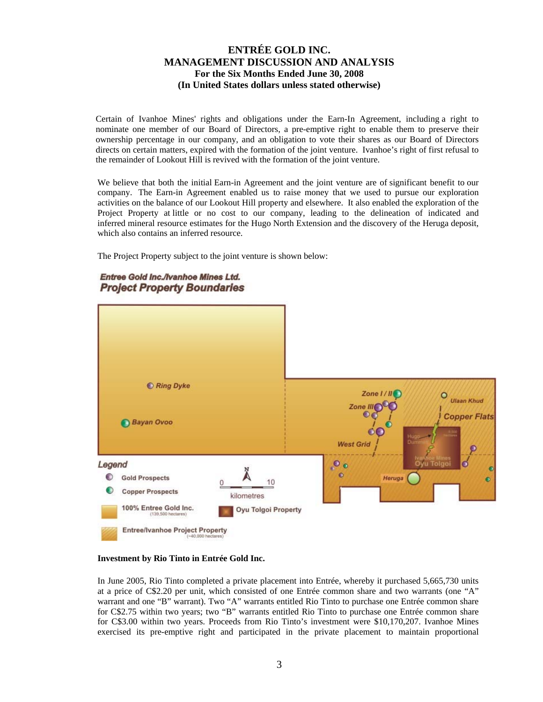Certain of Ivanhoe Mines' rights and obligations under the Earn-In Agreement, including a right to nominate one member of our Board of Directors, a pre-emptive right to enable them to preserve their ownership percentage in our company, and an obligation to vote their shares as our Board of Directors directs on certain matters, expired with the formation of the joint venture. Ivanhoe's right of first refusal to the remainder of Lookout Hill is revived with the formation of the joint venture.

We believe that both the initial Earn-in Agreement and the joint venture are of significant benefit to our company. The Earn-in Agreement enabled us to raise money that we used to pursue our exploration activities on the balance of our Lookout Hill property and elsewhere. It also enabled the exploration of the Project Property at little or no cost to our company, leading to the delineation of indicated and inferred mineral resource estimates for the Hugo North Extension and the discovery of the Heruga deposit, which also contains an inferred resource.

The Project Property subject to the joint venture is shown below:



Entree Gold Inc./Ivanhoe Mines Ltd. **Project Property Boundaries** 

### **Investment by Rio Tinto in Entrée Gold Inc.**

In June 2005, Rio Tinto completed a private placement into Entrée, whereby it purchased 5,665,730 units at a price of C\$2.20 per unit, which consisted of one Entrée common share and two warrants (one "A" warrant and one "B" warrant). Two "A" warrants entitled Rio Tinto to purchase one Entrée common share for C\$2.75 within two years; two "B" warrants entitled Rio Tinto to purchase one Entrée common share for C\$3.00 within two years. Proceeds from Rio Tinto's investment were \$10,170,207. Ivanhoe Mines exercised its pre-emptive right and participated in the private placement to maintain proportional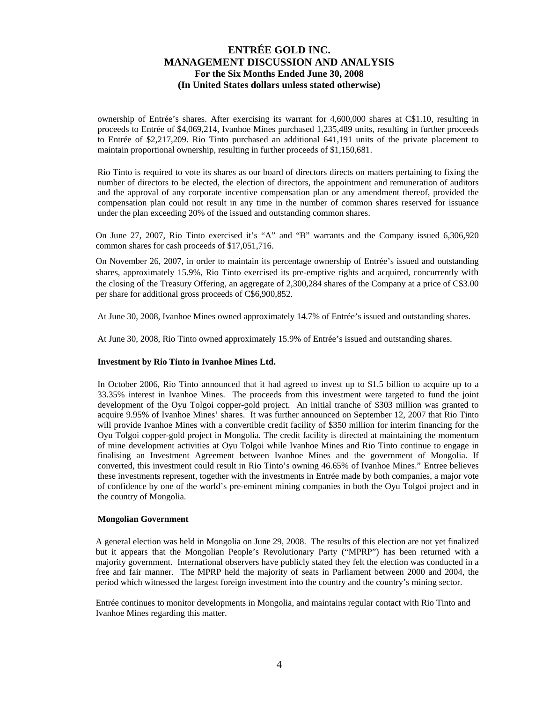ownership of Entrée's shares. After exercising its warrant for 4,600,000 shares at C\$1.10, resulting in proceeds to Entrée of \$4,069,214, Ivanhoe Mines purchased 1,235,489 units, resulting in further proceeds to Entrée of \$2,217,209. Rio Tinto purchased an additional 641,191 units of the private placement to maintain proportional ownership, resulting in further proceeds of \$1,150,681.

Rio Tinto is required to vote its shares as our board of directors directs on matters pertaining to fixing the number of directors to be elected, the election of directors, the appointment and remuneration of auditors and the approval of any corporate incentive compensation plan or any amendment thereof, provided the compensation plan could not result in any time in the number of common shares reserved for issuance under the plan exceeding 20% of the issued and outstanding common shares.

On June 27, 2007, Rio Tinto exercised it's "A" and "B" warrants and the Company issued 6,306,920 common shares for cash proceeds of \$17,051,716.

On November 26, 2007, in order to maintain its percentage ownership of Entrée's issued and outstanding shares, approximately 15.9%, Rio Tinto exercised its pre-emptive rights and acquired, concurrently with the closing of the Treasury Offering, an aggregate of 2,300,284 shares of the Company at a price of C\$3.00 per share for additional gross proceeds of C\$6,900,852.

At June 30, 2008, Ivanhoe Mines owned approximately 14.7% of Entrée's issued and outstanding shares.

At June 30, 2008, Rio Tinto owned approximately 15.9% of Entrée's issued and outstanding shares.

### **Investment by Rio Tinto in Ivanhoe Mines Ltd.**

In October 2006, Rio Tinto announced that it had agreed to invest up to \$1.5 billion to acquire up to a 33.35% interest in Ivanhoe Mines. The proceeds from this investment were targeted to fund the joint development of the Oyu Tolgoi copper-gold project. An initial tranche of \$303 million was granted to acquire 9.95% of Ivanhoe Mines' shares. It was further announced on September 12, 2007 that Rio Tinto will provide Ivanhoe Mines with a convertible credit facility of \$350 million for interim financing for the Oyu Tolgoi copper-gold project in Mongolia. The credit facility is directed at maintaining the momentum of mine development activities at Oyu Tolgoi while Ivanhoe Mines and Rio Tinto continue to engage in finalising an Investment Agreement between Ivanhoe Mines and the government of Mongolia. If converted, this investment could result in Rio Tinto's owning 46.65% of Ivanhoe Mines." Entree believes these investments represent, together with the investments in Entrée made by both companies, a major vote of confidence by one of the world's pre-eminent mining companies in both the Oyu Tolgoi project and in the country of Mongolia.

### **Mongolian Government**

A general election was held in Mongolia on June 29, 2008. The results of this election are not yet finalized but it appears that the Mongolian People's Revolutionary Party ("MPRP") has been returned with a majority government. International observers have publicly stated they felt the election was conducted in a free and fair manner. The MPRP held the majority of seats in Parliament between 2000 and 2004, the period which witnessed the largest foreign investment into the country and the country's mining sector.

Entrée continues to monitor developments in Mongolia, and maintains regular contact with Rio Tinto and Ivanhoe Mines regarding this matter.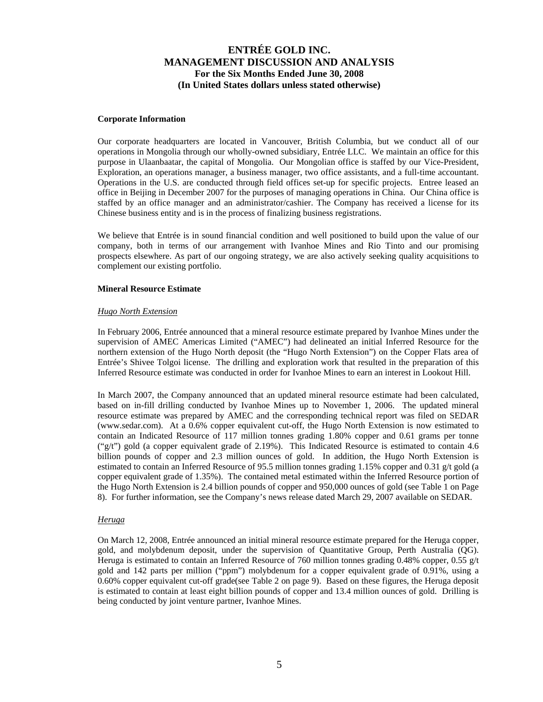#### **Corporate Information**

Our corporate headquarters are located in Vancouver, British Columbia, but we conduct all of our operations in Mongolia through our wholly-owned subsidiary, Entrée LLC. We maintain an office for this purpose in Ulaanbaatar, the capital of Mongolia. Our Mongolian office is staffed by our Vice-President, Exploration, an operations manager, a business manager, two office assistants, and a full-time accountant. Operations in the U.S. are conducted through field offices set-up for specific projects. Entree leased an office in Beijing in December 2007 for the purposes of managing operations in China. Our China office is staffed by an office manager and an administrator/cashier. The Company has received a license for its Chinese business entity and is in the process of finalizing business registrations.

We believe that Entrée is in sound financial condition and well positioned to build upon the value of our company, both in terms of our arrangement with Ivanhoe Mines and Rio Tinto and our promising prospects elsewhere. As part of our ongoing strategy, we are also actively seeking quality acquisitions to complement our existing portfolio.

### **Mineral Resource Estimate**

#### *Hugo North Extension*

In February 2006, Entrée announced that a mineral resource estimate prepared by Ivanhoe Mines under the supervision of AMEC Americas Limited ("AMEC") had delineated an initial Inferred Resource for the northern extension of the Hugo North deposit (the "Hugo North Extension") on the Copper Flats area of Entrée's Shivee Tolgoi license. The drilling and exploration work that resulted in the preparation of this Inferred Resource estimate was conducted in order for Ivanhoe Mines to earn an interest in Lookout Hill.

In March 2007, the Company announced that an updated mineral resource estimate had been calculated, based on in-fill drilling conducted by Ivanhoe Mines up to November 1, 2006. The updated mineral resource estimate was prepared by AMEC and the corresponding technical report was filed on SEDAR (www.sedar.com). At a 0.6% copper equivalent cut-off, the Hugo North Extension is now estimated to contain an Indicated Resource of 117 million tonnes grading 1.80% copper and 0.61 grams per tonne ("g/t") gold (a copper equivalent grade of 2.19%). This Indicated Resource is estimated to contain 4.6 billion pounds of copper and 2.3 million ounces of gold. In addition, the Hugo North Extension is estimated to contain an Inferred Resource of 95.5 million tonnes grading 1.15% copper and 0.31 g/t gold (a copper equivalent grade of 1.35%). The contained metal estimated within the Inferred Resource portion of the Hugo North Extension is 2.4 billion pounds of copper and 950,000 ounces of gold (see Table 1 on Page 8). For further information, see the Company's news release dated March 29, 2007 available on SEDAR.

### *Heruga*

On March 12, 2008, Entrée announced an initial mineral resource estimate prepared for the Heruga copper, gold, and molybdenum deposit, under the supervision of Quantitative Group, Perth Australia (QG). Heruga is estimated to contain an Inferred Resource of 760 million tonnes grading 0.48% copper, 0.55 g/t gold and 142 parts per million ("ppm") molybdenum for a copper equivalent grade of 0.91%, using a 0.60% copper equivalent cut-off grade(see Table 2 on page 9). Based on these figures, the Heruga deposit is estimated to contain at least eight billion pounds of copper and 13.4 million ounces of gold. Drilling is being conducted by joint venture partner, Ivanhoe Mines.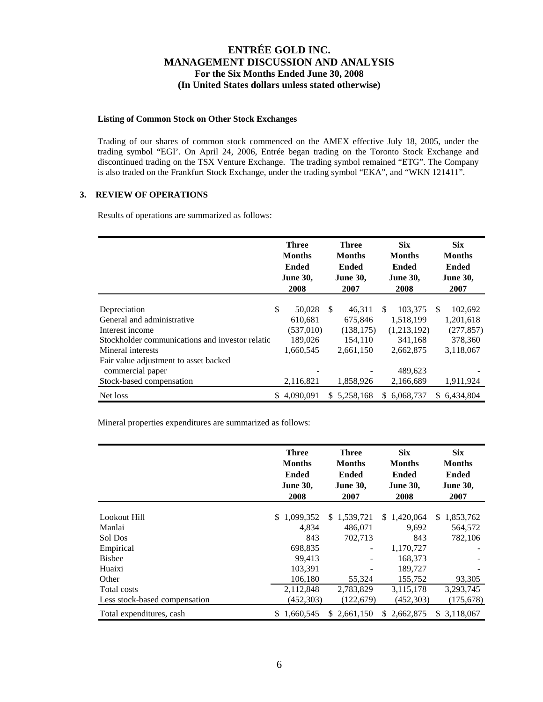## **Listing of Common Stock on Other Stock Exchanges**

Trading of our shares of common stock commenced on the AMEX effective July 18, 2005, under the trading symbol "EGI'. On April 24, 2006, Entrée began trading on the Toronto Stock Exchange and discontinued trading on the TSX Venture Exchange. The trading symbol remained "ETG". The Company is also traded on the Frankfurt Stock Exchange, under the trading symbol "EKA", and "WKN 121411".

## **3. REVIEW OF OPERATIONS**

Results of operations are summarized as follows:

|                                                                                                                                        |    | <b>Three</b><br><b>Months</b><br><b>Ended</b><br><b>June 30,</b><br>2008 |     | <b>Three</b><br><b>Months</b><br><b>Ended</b><br><b>June 30,</b><br>2007 |     | <b>Six</b><br><b>Months</b><br><b>Ended</b><br><b>June 30,</b><br>2008 |               | <b>Six</b><br><b>Months</b><br><b>Ended</b><br><b>June 30,</b><br>2007 |
|----------------------------------------------------------------------------------------------------------------------------------------|----|--------------------------------------------------------------------------|-----|--------------------------------------------------------------------------|-----|------------------------------------------------------------------------|---------------|------------------------------------------------------------------------|
| Depreciation<br>General and administrative<br>Interest income<br>Stockholder communications and investor relation<br>Mineral interests | \$ | 50,028<br>610,681<br>(537,010)<br>189,026<br>1,660,545                   | \$. | 46.311<br>675,846<br>(138, 175)<br>154,110<br>2,661,150                  | \$. | 103,375<br>1,518,199<br>(1,213,192)<br>341,168<br>2,662,875            | <sup>\$</sup> | 102,692<br>1,201,618<br>(277, 857)<br>378,360<br>3,118,067             |
| Fair value adjustment to asset backed<br>commercial paper<br>Stock-based compensation<br>Net loss                                      | S. | 2,116,821<br>4,090,091                                                   | S.  | 1,858,926<br>5,258,168                                                   | S.  | 489,623<br>2,166,689<br>6,068,737                                      | S.            | 1,911,924<br>6,434,804                                                 |

Mineral properties expenditures are summarized as follows:

|                               | <b>Three</b><br><b>Months</b><br><b>Ended</b><br><b>June 30,</b><br>2008 | <b>Three</b><br><b>Months</b><br><b>Ended</b><br><b>June 30,</b><br>2007 | <b>Six</b><br><b>Months</b><br><b>Ended</b><br><b>June 30,</b><br>2008 | <b>Six</b><br><b>Months</b><br>Ended<br><b>June 30,</b><br>2007 |
|-------------------------------|--------------------------------------------------------------------------|--------------------------------------------------------------------------|------------------------------------------------------------------------|-----------------------------------------------------------------|
|                               |                                                                          |                                                                          |                                                                        |                                                                 |
| Lookout Hill                  | 1,099,352<br>S.                                                          | \$1,539,721                                                              | \$1,420,064                                                            | 1,853,762<br>S.                                                 |
| Manlai                        | 4,834                                                                    | 486,071                                                                  | 9,692                                                                  | 564,572                                                         |
| Sol Dos                       | 843                                                                      | 702,713                                                                  | 843                                                                    | 782,106                                                         |
| Empirical                     | 698,835                                                                  |                                                                          | 1,170,727                                                              |                                                                 |
| <b>Bisbee</b>                 | 99.413                                                                   |                                                                          | 168,373                                                                |                                                                 |
| Huaixi                        | 103,391                                                                  |                                                                          | 189,727                                                                |                                                                 |
| Other                         | 106,180                                                                  | 55,324                                                                   | 155,752                                                                | 93,305                                                          |
| Total costs                   | 2,112,848                                                                | 2,783,829                                                                | 3,115,178                                                              | 3,293,745                                                       |
| Less stock-based compensation | (452, 303)                                                               | (122, 679)                                                               | (452, 303)                                                             | (175, 678)                                                      |
| Total expenditures, cash      | 1.660.545<br>\$.                                                         | \$2.661.150                                                              | 2,662,875<br>\$.                                                       | 3,118,067<br>S.                                                 |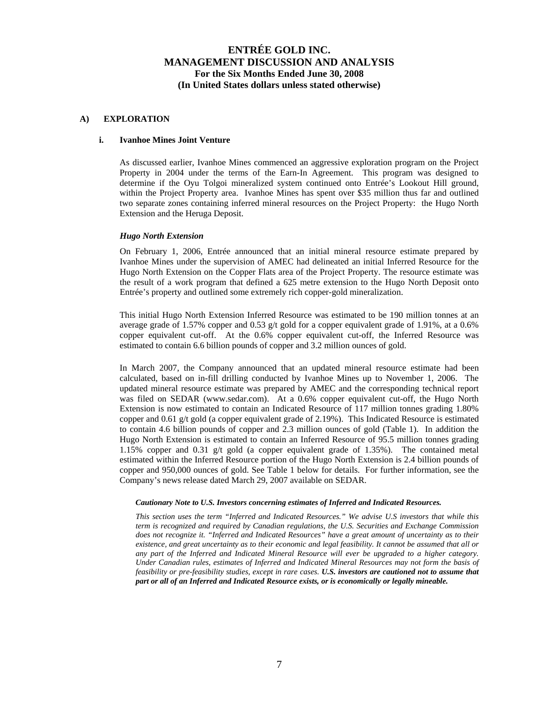### **A) EXPLORATION**

### **i. Ivanhoe Mines Joint Venture**

As discussed earlier, Ivanhoe Mines commenced an aggressive exploration program on the Project Property in 2004 under the terms of the Earn-In Agreement. This program was designed to determine if the Oyu Tolgoi mineralized system continued onto Entrée's Lookout Hill ground, within the Project Property area. Ivanhoe Mines has spent over \$35 million thus far and outlined two separate zones containing inferred mineral resources on the Project Property: the Hugo North Extension and the Heruga Deposit.

### *Hugo North Extension*

On February 1, 2006, Entrée announced that an initial mineral resource estimate prepared by Ivanhoe Mines under the supervision of AMEC had delineated an initial Inferred Resource for the Hugo North Extension on the Copper Flats area of the Project Property. The resource estimate was the result of a work program that defined a 625 metre extension to the Hugo North Deposit onto Entrée's property and outlined some extremely rich copper-gold mineralization.

This initial Hugo North Extension Inferred Resource was estimated to be 190 million tonnes at an average grade of 1.57% copper and 0.53 g/t gold for a copper equivalent grade of 1.91%, at a 0.6% copper equivalent cut-off. At the 0.6% copper equivalent cut-off, the Inferred Resource was estimated to contain 6.6 billion pounds of copper and 3.2 million ounces of gold.

In March 2007, the Company announced that an updated mineral resource estimate had been calculated, based on in-fill drilling conducted by Ivanhoe Mines up to November 1, 2006. The updated mineral resource estimate was prepared by AMEC and the corresponding technical report was filed on SEDAR (www.sedar.com). At a 0.6% copper equivalent cut-off, the Hugo North Extension is now estimated to contain an Indicated Resource of 117 million tonnes grading 1.80% copper and 0.61 g/t gold (a copper equivalent grade of 2.19%). This Indicated Resource is estimated to contain 4.6 billion pounds of copper and 2.3 million ounces of gold (Table 1). In addition the Hugo North Extension is estimated to contain an Inferred Resource of 95.5 million tonnes grading 1.15% copper and 0.31 g/t gold (a copper equivalent grade of 1.35%). The contained metal estimated within the Inferred Resource portion of the Hugo North Extension is 2.4 billion pounds of copper and 950,000 ounces of gold. See Table 1 below for details. For further information, see the Company's news release dated March 29, 2007 available on SEDAR.

#### *Cautionary Note to U.S. Investors concerning estimates of Inferred and Indicated Resources.*

*This section uses the term "Inferred and Indicated Resources." We advise U.S investors that while this term is recognized and required by Canadian regulations, the U.S. Securities and Exchange Commission does not recognize it. "Inferred and Indicated Resources" have a great amount of uncertainty as to their existence, and great uncertainty as to their economic and legal feasibility. It cannot be assumed that all or any part of the Inferred and Indicated Mineral Resource will ever be upgraded to a higher category. Under Canadian rules, estimates of Inferred and Indicated Mineral Resources may not form the basis of feasibility or pre-feasibility studies, except in rare cases. U.S. investors are cautioned not to assume that part or all of an Inferred and Indicated Resource exists, or is economically or legally mineable.*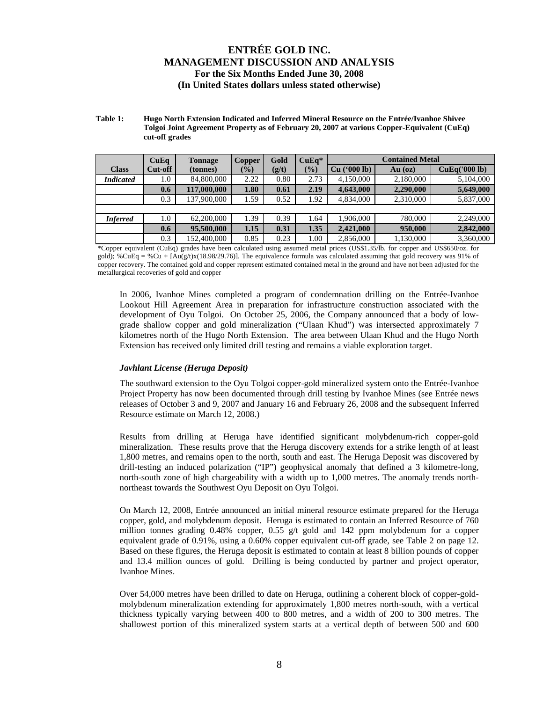#### **Table 1: Hugo North Extension Indicated and Inferred Mineral Resource on the Entrée/Ivanhoe Shivee Tolgoi Joint Agreement Property as of February 20, 2007 at various Copper-Equivalent (CuEq) cut-off grades**

|                  | CuEq    | <b>Tonnage</b> | Copper        | Gold  | $CuEq*$       | <b>Contained Metal</b>   |           |               |
|------------------|---------|----------------|---------------|-------|---------------|--------------------------|-----------|---------------|
| <b>Class</b>     | Cut-off | (tonnes)       | $\frac{1}{2}$ | (g/t) | $\frac{1}{2}$ | $(900 \text{ lb})$<br>Cu | $Au$ (oz) | CuEq('000 lb) |
| <b>Indicated</b> | 0.1     | 84,800,000     | 2.22          | 0.80  | 2.73          | 4,150,000                | 2,180,000 | 5,104,000     |
|                  | 0.6     | 117,000,000    | 1.80          | 0.61  | 2.19          | 4,643,000                | 2,290,000 | 5,649,000     |
|                  | 0.3     | 137,900,000    | 1.59          | 0.52  | 1.92          | 4,834,000                | 2,310,000 | 5,837,000     |
|                  |         |                |               |       |               |                          |           |               |
| <b>Inferred</b>  | 0.1     | 62,200,000     | 1.39          | 0.39  | 1.64          | 1.906.000                | 780,000   | 2,249,000     |
|                  | 0.6     | 95,500,000     | 1.15          | 0.31  | 1.35          | 2,421,000                | 950,000   | 2,842,000     |
|                  | 0.3     | 152,400,000    | 0.85          | 0.23  | 1.00          | 2,856,000                | 1,130,000 | 3,360,000     |

\*Copper equivalent (CuEq) grades have been calculated using assumed metal prices (US\$1.35/lb. for copper and US\$650/oz. for gold); %CuEq = %Cu +  $[Au(g/t)x(18.98/29.76)]$ . The equivalence formula was calculated assuming that gold recovery was 91% of copper recovery. The contained gold and copper represent estimated contained metal in the ground and have not been adjusted for the metallurgical recoveries of gold and copper

In 2006, Ivanhoe Mines completed a program of condemnation drilling on the Entrée-Ivanhoe Lookout Hill Agreement Area in preparation for infrastructure construction associated with the development of Oyu Tolgoi. On October 25, 2006, the Company announced that a body of lowgrade shallow copper and gold mineralization ("Ulaan Khud") was intersected approximately 7 kilometres north of the Hugo North Extension. The area between Ulaan Khud and the Hugo North Extension has received only limited drill testing and remains a viable exploration target.

## *Javhlant License (Heruga Deposit)*

The southward extension to the Oyu Tolgoi copper-gold mineralized system onto the Entrée-Ivanhoe Project Property has now been documented through drill testing by Ivanhoe Mines (see Entrée news releases of October 3 and 9, 2007 and January 16 and February 26, 2008 and the subsequent Inferred Resource estimate on March 12, 2008.)

Results from drilling at Heruga have identified significant molybdenum-rich copper-gold mineralization. These results prove that the Heruga discovery extends for a strike length of at least 1,800 metres, and remains open to the north, south and east. The Heruga Deposit was discovered by drill-testing an induced polarization ("IP") geophysical anomaly that defined a 3 kilometre-long, north-south zone of high chargeability with a width up to 1,000 metres. The anomaly trends northnortheast towards the Southwest Oyu Deposit on Oyu Tolgoi.

On March 12, 2008, Entrée announced an initial mineral resource estimate prepared for the Heruga copper, gold, and molybdenum deposit. Heruga is estimated to contain an Inferred Resource of 760 million tonnes grading  $0.48\%$  copper,  $0.55$  g/t gold and 142 ppm molybdenum for a copper equivalent grade of 0.91%, using a 0.60% copper equivalent cut-off grade, see Table 2 on page 12. Based on these figures, the Heruga deposit is estimated to contain at least 8 billion pounds of copper and 13.4 million ounces of gold. Drilling is being conducted by partner and project operator, Ivanhoe Mines.

Over 54,000 metres have been drilled to date on Heruga, outlining a coherent block of copper-goldmolybdenum mineralization extending for approximately 1,800 metres north-south, with a vertical thickness typically varying between 400 to 800 metres, and a width of 200 to 300 metres. The shallowest portion of this mineralized system starts at a vertical depth of between 500 and 600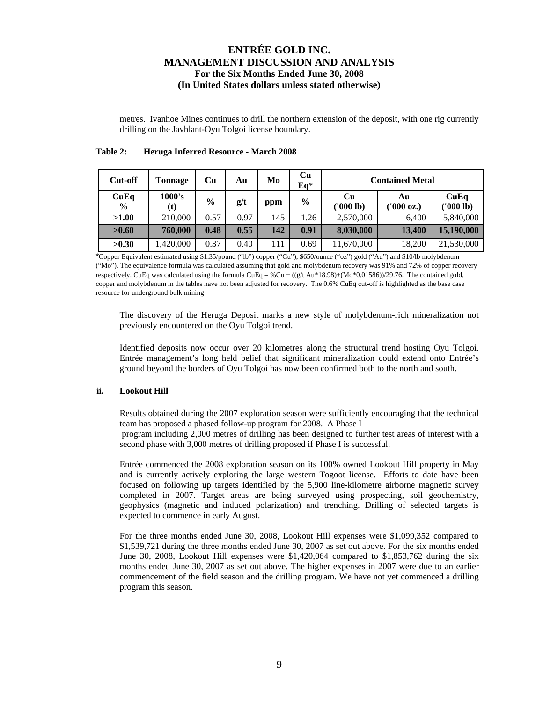metres. Ivanhoe Mines continues to drill the northern extension of the deposit, with one rig currently drilling on the Javhlant-Oyu Tolgoi license boundary.

| Cut-off               | <b>Tonnage</b> | <b>Cu</b>     | Au   | Mo  | Cu<br>$Eq*$   | <b>Contained Metal</b> |                  |                   |  |
|-----------------------|----------------|---------------|------|-----|---------------|------------------------|------------------|-------------------|--|
| CuEq<br>$\frac{6}{9}$ | 1000's<br>(t)  | $\frac{0}{0}$ | g/t  | ppm | $\frac{0}{0}$ | Cu<br>('000 lb)        | Au<br>''000 oz.) | CuEq<br>('000 lb) |  |
| >1.00                 | 210,000        | 0.57          | 0.97 | 145 | 1.26          | 2,570,000              | 6,400            | 5,840,000         |  |
| >0.60                 | 760,000        | 0.48          | 0.55 | 142 | 0.91          | 8,030,000              | 13,400           | 15,190,000        |  |
| >0.30                 | 1,420,000      | 0.37          | 0.40 | 111 | 0.69          | 11,670,000             | 18,200           | 21,530,000        |  |

## **Table 2: Heruga Inferred Resource - March 2008**

\*Copper Equivalent estimated using \$1.35/pound ("lb") copper ("Cu"), \$650/ounce ("oz") gold ("Au") and \$10/lb molybdenum ("Mo"). The equivalence formula was calculated assuming that gold and molybdenum recovery was 91% and 72% of copper recovery respectively. CuEq was calculated using the formula CuEq = %Cu +  $((g/t \text{ Au*18.98})+(Mo*0.01586))/29.76$ . The contained gold, copper and molybdenum in the tables have not been adjusted for recovery. The 0.6% CuEq cut-off is highlighted as the base case resource for underground bulk mining.

The discovery of the Heruga Deposit marks a new style of molybdenum-rich mineralization not previously encountered on the Oyu Tolgoi trend.

Identified deposits now occur over 20 kilometres along the structural trend hosting Oyu Tolgoi. Entrée management's long held belief that significant mineralization could extend onto Entrée's ground beyond the borders of Oyu Tolgoi has now been confirmed both to the north and south.

### **ii. Lookout Hill**

Results obtained during the 2007 exploration season were sufficiently encouraging that the technical team has proposed a phased follow-up program for 2008. A Phase I program including 2,000 metres of drilling has been designed to further test areas of interest with a second phase with 3,000 metres of drilling proposed if Phase I is successful.

Entrée commenced the 2008 exploration season on its 100% owned Lookout Hill property in May and is currently actively exploring the large western Togoot license. Efforts to date have been focused on following up targets identified by the 5,900 line-kilometre airborne magnetic survey completed in 2007. Target areas are being surveyed using prospecting, soil geochemistry, geophysics (magnetic and induced polarization) and trenching. Drilling of selected targets is expected to commence in early August.

For the three months ended June 30, 2008, Lookout Hill expenses were \$1,099,352 compared to \$1,539,721 during the three months ended June 30, 2007 as set out above. For the six months ended June 30, 2008, Lookout Hill expenses were \$1,420,064 compared to \$1,853,762 during the six months ended June 30, 2007 as set out above. The higher expenses in 2007 were due to an earlier commencement of the field season and the drilling program. We have not yet commenced a drilling program this season.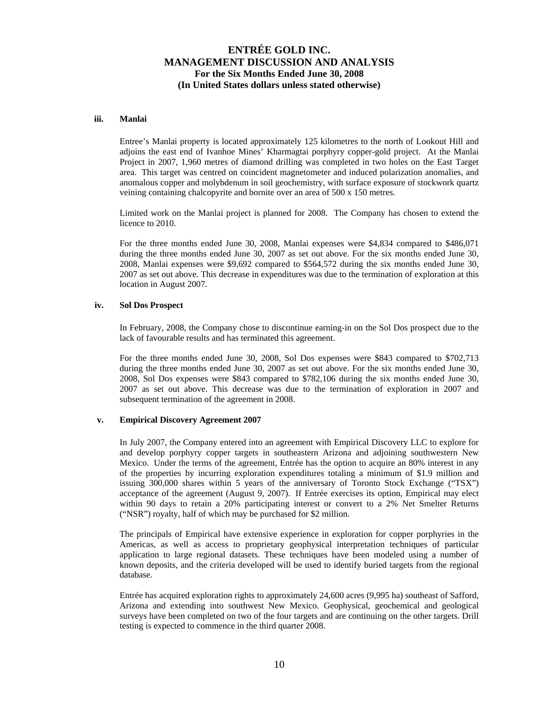### **iii. Manlai**

Entree's Manlai property is located approximately 125 kilometres to the north of Lookout Hill and adjoins the east end of Ivanhoe Mines' Kharmagtai porphyry copper-gold project. At the Manlai Project in 2007, 1,960 metres of diamond drilling was completed in two holes on the East Target area. This target was centred on coincident magnetometer and induced polarization anomalies, and anomalous copper and molybdenum in soil geochemistry, with surface exposure of stockwork quartz veining containing chalcopyrite and bornite over an area of 500 x 150 metres.

Limited work on the Manlai project is planned for 2008. The Company has chosen to extend the licence to 2010.

For the three months ended June 30, 2008, Manlai expenses were \$4,834 compared to \$486,071 during the three months ended June 30, 2007 as set out above. For the six months ended June 30, 2008, Manlai expenses were \$9,692 compared to \$564,572 during the six months ended June 30, 2007 as set out above. This decrease in expenditures was due to the termination of exploration at this location in August 2007.

#### **iv. Sol Dos Prospect**

In February, 2008, the Company chose to discontinue earning-in on the Sol Dos prospect due to the lack of favourable results and has terminated this agreement.

For the three months ended June 30, 2008, Sol Dos expenses were \$843 compared to \$702,713 during the three months ended June 30, 2007 as set out above. For the six months ended June 30, 2008, Sol Dos expenses were \$843 compared to \$782,106 during the six months ended June 30, 2007 as set out above. This decrease was due to the termination of exploration in 2007 and subsequent termination of the agreement in 2008.

#### **v. Empirical Discovery Agreement 2007**

In July 2007, the Company entered into an agreement with Empirical Discovery LLC to explore for and develop porphyry copper targets in southeastern Arizona and adjoining southwestern New Mexico. Under the terms of the agreement, Entrée has the option to acquire an 80% interest in any of the properties by incurring exploration expenditures totaling a minimum of \$1.9 million and issuing 300,000 shares within 5 years of the anniversary of Toronto Stock Exchange ("TSX") acceptance of the agreement (August 9, 2007). If Entrée exercises its option, Empirical may elect within 90 days to retain a 20% participating interest or convert to a 2% Net Smelter Returns ("NSR") royalty, half of which may be purchased for \$2 million.

The principals of Empirical have extensive experience in exploration for copper porphyries in the Americas, as well as access to proprietary geophysical interpretation techniques of particular application to large regional datasets. These techniques have been modeled using a number of known deposits, and the criteria developed will be used to identify buried targets from the regional database.

Entrée has acquired exploration rights to approximately 24,600 acres (9,995 ha) southeast of Safford, Arizona and extending into southwest New Mexico. Geophysical, geochemical and geological surveys have been completed on two of the four targets and are continuing on the other targets. Drill testing is expected to commence in the third quarter 2008.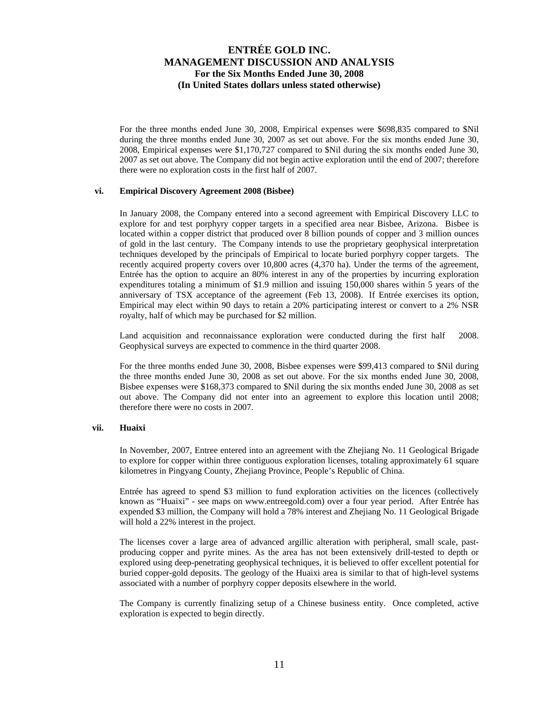For the three months ended June 30, 2008, Empirical expenses were \$698,835 compared to \$Nil during the three months ended June 30, 2007 as set out above. For the six months ended June 30, 2008, Empirical expenses were \$1,170,727 compared to \$Nil during the six months ended June 30, 2007 as set out above. The Company did not begin active exploration until the end of 2007; therefore there were no exploration costs in the first half of 2007.

#### **vi. Empirical Discovery Agreement 2008 (Bisbee)**

In January 2008, the Company entered into a second agreement with Empirical Discovery LLC to explore for and test porphyry copper targets in a specified area near Bisbee, Arizona. Bisbee is located within a copper district that produced over 8 billion pounds of copper and 3 million ounces of gold in the last century. The Company intends to use the proprietary geophysical interpretation techniques developed by the principals of Empirical to locate buried porphyry copper targets. The recently acquired property covers over 10,800 acres (4,370 ha). Under the terms of the agreement, Entrée has the option to acquire an 80% interest in any of the properties by incurring exploration expenditures totaling a minimum of \$1.9 million and issuing 150,000 shares within 5 years of the anniversary of TSX acceptance of the agreement (Feb 13, 2008). If Entrée exercises its option, Empirical may elect within 90 days to retain a 20% participating interest or convert to a 2% NSR royalty, half of which may be purchased for \$2 million.

Land acquisition and reconnaissance exploration were conducted during the first half 2008. Geophysical surveys are expected to commence in the third quarter 2008.

For the three months ended June 30, 2008, Bisbee expenses were \$99,413 compared to \$Nil during the three months ended June 30, 2008 as set out above. For the six months ended June 30, 2008, Bisbee expenses were \$168,373 compared to \$Nil during the six months ended June 30, 2008 as set out above. The Company did not enter into an agreement to explore this location until 2008; therefore there were no costs in 2007.

#### **vii. Huaixi**

In November, 2007, Entree entered into an agreement with the Zhejiang No. 11 Geological Brigade to explore for copper within three contiguous exploration licenses, totaling approximately 61 square kilometres in Pingyang County, Zhejiang Province, People's Republic of China.

Entrée has agreed to spend \$3 million to fund exploration activities on the licences (collectively known as "Huaixi" - see maps on www.entreegold.com) over a four year period. After Entrée has expended \$3 million, the Company will hold a 78% interest and Zhejiang No. 11 Geological Brigade will hold a 22% interest in the project.

The licenses cover a large area of advanced argillic alteration with peripheral, small scale, pastproducing copper and pyrite mines. As the area has not been extensively drill-tested to depth or explored using deep-penetrating geophysical techniques, it is believed to offer excellent potential for buried copper-gold deposits. The geology of the Huaixi area is similar to that of high-level systems associated with a number of porphyry copper deposits elsewhere in the world.

The Company is currently finalizing setup of a Chinese business entity. Once completed, active exploration is expected to begin directly.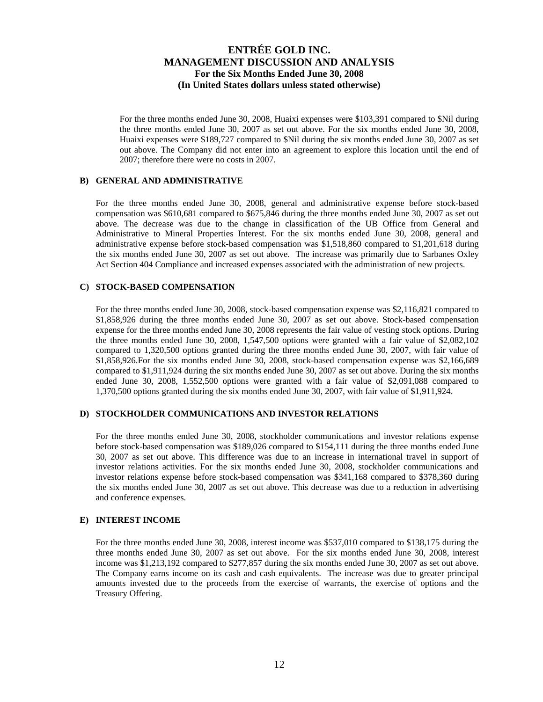For the three months ended June 30, 2008, Huaixi expenses were \$103,391 compared to \$Nil during the three months ended June 30, 2007 as set out above. For the six months ended June 30, 2008, Huaixi expenses were \$189,727 compared to \$Nil during the six months ended June 30, 2007 as set out above. The Company did not enter into an agreement to explore this location until the end of 2007; therefore there were no costs in 2007.

### **B) GENERAL AND ADMINISTRATIVE**

For the three months ended June 30, 2008, general and administrative expense before stock-based compensation was \$610,681 compared to \$675,846 during the three months ended June 30, 2007 as set out above. The decrease was due to the change in classification of the UB Office from General and Administrative to Mineral Properties Interest. For the six months ended June 30, 2008, general and administrative expense before stock-based compensation was \$1,518,860 compared to \$1,201,618 during the six months ended June 30, 2007 as set out above. The increase was primarily due to Sarbanes Oxley Act Section 404 Compliance and increased expenses associated with the administration of new projects.

### **C) STOCK-BASED COMPENSATION**

For the three months ended June 30, 2008, stock-based compensation expense was \$2,116,821 compared to \$1,858,926 during the three months ended June 30, 2007 as set out above. Stock-based compensation expense for the three months ended June 30, 2008 represents the fair value of vesting stock options. During the three months ended June 30, 2008, 1,547,500 options were granted with a fair value of \$2,082,102 compared to 1,320,500 options granted during the three months ended June 30, 2007, with fair value of \$1,858,926.For the six months ended June 30, 2008, stock-based compensation expense was \$2,166,689 compared to \$1,911,924 during the six months ended June 30, 2007 as set out above. During the six months ended June 30, 2008, 1,552,500 options were granted with a fair value of \$2,091,088 compared to 1,370,500 options granted during the six months ended June 30, 2007, with fair value of \$1,911,924.

## **D) STOCKHOLDER COMMUNICATIONS AND INVESTOR RELATIONS**

For the three months ended June 30, 2008, stockholder communications and investor relations expense before stock-based compensation was \$189,026 compared to \$154,111 during the three months ended June 30, 2007 as set out above. This difference was due to an increase in international travel in support of investor relations activities. For the six months ended June 30, 2008, stockholder communications and investor relations expense before stock-based compensation was \$341,168 compared to \$378,360 during the six months ended June 30, 2007 as set out above. This decrease was due to a reduction in advertising and conference expenses.

#### **E) INTEREST INCOME**

For the three months ended June 30, 2008, interest income was \$537,010 compared to \$138,175 during the three months ended June 30, 2007 as set out above. For the six months ended June 30, 2008, interest income was \$1,213,192 compared to \$277,857 during the six months ended June 30, 2007 as set out above. The Company earns income on its cash and cash equivalents. The increase was due to greater principal amounts invested due to the proceeds from the exercise of warrants, the exercise of options and the Treasury Offering.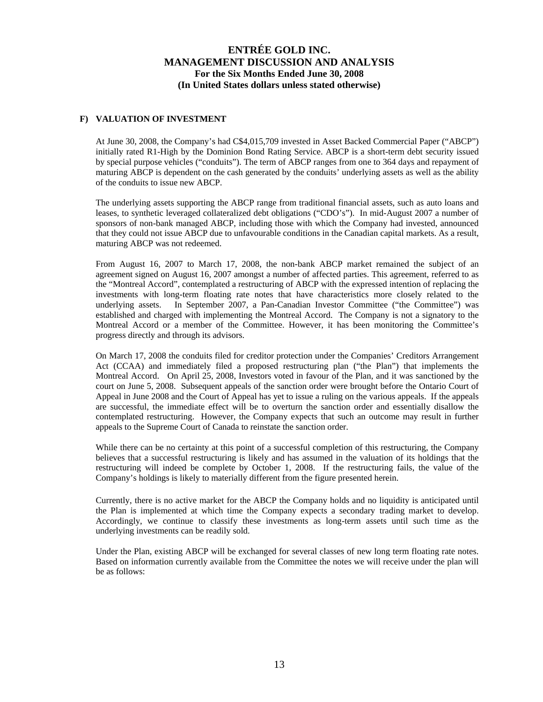## **F) VALUATION OF INVESTMENT**

At June 30, 2008, the Company's had C\$4,015,709 invested in Asset Backed Commercial Paper ("ABCP") initially rated R1-High by the Dominion Bond Rating Service. ABCP is a short-term debt security issued by special purpose vehicles ("conduits"). The term of ABCP ranges from one to 364 days and repayment of maturing ABCP is dependent on the cash generated by the conduits' underlying assets as well as the ability of the conduits to issue new ABCP.

The underlying assets supporting the ABCP range from traditional financial assets, such as auto loans and leases, to synthetic leveraged collateralized debt obligations ("CDO's"). In mid-August 2007 a number of sponsors of non-bank managed ABCP, including those with which the Company had invested, announced that they could not issue ABCP due to unfavourable conditions in the Canadian capital markets. As a result, maturing ABCP was not redeemed.

From August 16, 2007 to March 17, 2008, the non-bank ABCP market remained the subject of an agreement signed on August 16, 2007 amongst a number of affected parties. This agreement, referred to as the "Montreal Accord", contemplated a restructuring of ABCP with the expressed intention of replacing the investments with long-term floating rate notes that have characteristics more closely related to the underlying assets. In September 2007, a Pan-Canadian Investor Committee ("the Committee") was established and charged with implementing the Montreal Accord. The Company is not a signatory to the Montreal Accord or a member of the Committee. However, it has been monitoring the Committee's progress directly and through its advisors.

On March 17, 2008 the conduits filed for creditor protection under the Companies' Creditors Arrangement Act (CCAA) and immediately filed a proposed restructuring plan ("the Plan") that implements the Montreal Accord. On April 25, 2008, Investors voted in favour of the Plan, and it was sanctioned by the court on June 5, 2008. Subsequent appeals of the sanction order were brought before the Ontario Court of Appeal in June 2008 and the Court of Appeal has yet to issue a ruling on the various appeals. If the appeals are successful, the immediate effect will be to overturn the sanction order and essentially disallow the contemplated restructuring. However, the Company expects that such an outcome may result in further appeals to the Supreme Court of Canada to reinstate the sanction order.

While there can be no certainty at this point of a successful completion of this restructuring, the Company believes that a successful restructuring is likely and has assumed in the valuation of its holdings that the restructuring will indeed be complete by October 1, 2008. If the restructuring fails, the value of the Company's holdings is likely to materially different from the figure presented herein.

Currently, there is no active market for the ABCP the Company holds and no liquidity is anticipated until the Plan is implemented at which time the Company expects a secondary trading market to develop. Accordingly, we continue to classify these investments as long-term assets until such time as the underlying investments can be readily sold.

Under the Plan, existing ABCP will be exchanged for several classes of new long term floating rate notes. Based on information currently available from the Committee the notes we will receive under the plan will be as follows: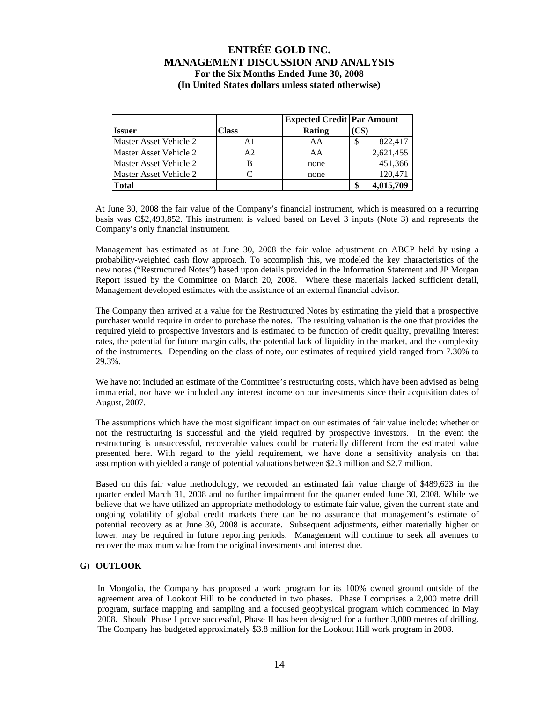|                               |                | <b>Expected Credit   Par Amount</b> |               |
|-------------------------------|----------------|-------------------------------------|---------------|
| <b>Issuer</b>                 | Class          | Rating                              | $\mathbf{CS}$ |
| <b>Master Asset Vehicle 2</b> | A1             | AA                                  | 822,417<br>S  |
| <b>Master Asset Vehicle 2</b> | A <sub>2</sub> | AA                                  | 2,621,455     |
| <b>Master Asset Vehicle 2</b> |                | none                                | 451,366       |
| Master Asset Vehicle 2        |                | none                                | 120,471       |
| <b>Total</b>                  |                |                                     | 4,015,709     |

At June 30, 2008 the fair value of the Company's financial instrument, which is measured on a recurring basis was C\$2,493,852. This instrument is valued based on Level 3 inputs (Note 3) and represents the Company's only financial instrument.

Management has estimated as at June 30, 2008 the fair value adjustment on ABCP held by using a probability-weighted cash flow approach. To accomplish this, we modeled the key characteristics of the new notes ("Restructured Notes") based upon details provided in the Information Statement and JP Morgan Report issued by the Committee on March 20, 2008. Where these materials lacked sufficient detail, Management developed estimates with the assistance of an external financial advisor.

The Company then arrived at a value for the Restructured Notes by estimating the yield that a prospective purchaser would require in order to purchase the notes. The resulting valuation is the one that provides the required yield to prospective investors and is estimated to be function of credit quality, prevailing interest rates, the potential for future margin calls, the potential lack of liquidity in the market, and the complexity of the instruments. Depending on the class of note, our estimates of required yield ranged from 7.30% to 29.3%.

We have not included an estimate of the Committee's restructuring costs, which have been advised as being immaterial, nor have we included any interest income on our investments since their acquisition dates of August, 2007.

The assumptions which have the most significant impact on our estimates of fair value include: whether or not the restructuring is successful and the yield required by prospective investors. In the event the restructuring is unsuccessful, recoverable values could be materially different from the estimated value presented here. With regard to the yield requirement, we have done a sensitivity analysis on that assumption with yielded a range of potential valuations between \$2.3 million and \$2.7 million.

Based on this fair value methodology, we recorded an estimated fair value charge of \$489,623 in the quarter ended March 31, 2008 and no further impairment for the quarter ended June 30, 2008. While we believe that we have utilized an appropriate methodology to estimate fair value, given the current state and ongoing volatility of global credit markets there can be no assurance that management's estimate of potential recovery as at June 30, 2008 is accurate. Subsequent adjustments, either materially higher or lower, may be required in future reporting periods. Management will continue to seek all avenues to recover the maximum value from the original investments and interest due.

## **G) OUTLOOK**

In Mongolia, the Company has proposed a work program for its 100% owned ground outside of the agreement area of Lookout Hill to be conducted in two phases. Phase I comprises a 2,000 metre drill program, surface mapping and sampling and a focused geophysical program which commenced in May 2008. Should Phase I prove successful, Phase II has been designed for a further 3,000 metres of drilling. The Company has budgeted approximately \$3.8 million for the Lookout Hill work program in 2008.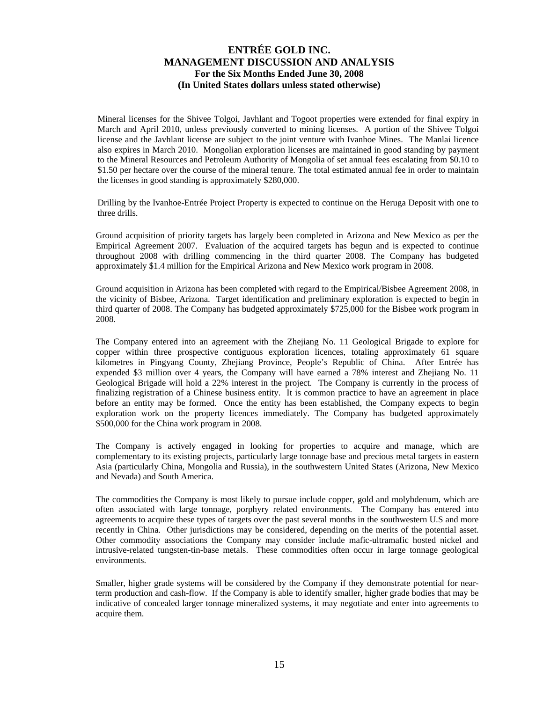Mineral licenses for the Shivee Tolgoi, Javhlant and Togoot properties were extended for final expiry in March and April 2010, unless previously converted to mining licenses. A portion of the Shivee Tolgoi license and the Javhlant license are subject to the joint venture with Ivanhoe Mines. The Manlai licence also expires in March 2010. Mongolian exploration licenses are maintained in good standing by payment to the Mineral Resources and Petroleum Authority of Mongolia of set annual fees escalating from \$0.10 to \$1.50 per hectare over the course of the mineral tenure. The total estimated annual fee in order to maintain the licenses in good standing is approximately \$280,000.

Drilling by the Ivanhoe-Entrée Project Property is expected to continue on the Heruga Deposit with one to three drills.

Ground acquisition of priority targets has largely been completed in Arizona and New Mexico as per the Empirical Agreement 2007. Evaluation of the acquired targets has begun and is expected to continue throughout 2008 with drilling commencing in the third quarter 2008. The Company has budgeted approximately \$1.4 million for the Empirical Arizona and New Mexico work program in 2008.

Ground acquisition in Arizona has been completed with regard to the Empirical/Bisbee Agreement 2008, in the vicinity of Bisbee, Arizona. Target identification and preliminary exploration is expected to begin in third quarter of 2008. The Company has budgeted approximately \$725,000 for the Bisbee work program in 2008.

The Company entered into an agreement with the Zhejiang No. 11 Geological Brigade to explore for copper within three prospective contiguous exploration licences, totaling approximately 61 square kilometres in Pingyang County, Zhejiang Province, People's Republic of China. After Entrée has expended \$3 million over 4 years, the Company will have earned a 78% interest and Zhejiang No. 11 Geological Brigade will hold a 22% interest in the project. The Company is currently in the process of finalizing registration of a Chinese business entity. It is common practice to have an agreement in place before an entity may be formed. Once the entity has been established, the Company expects to begin exploration work on the property licences immediately. The Company has budgeted approximately \$500,000 for the China work program in 2008.

The Company is actively engaged in looking for properties to acquire and manage, which are complementary to its existing projects, particularly large tonnage base and precious metal targets in eastern Asia (particularly China, Mongolia and Russia), in the southwestern United States (Arizona, New Mexico and Nevada) and South America.

The commodities the Company is most likely to pursue include copper, gold and molybdenum, which are often associated with large tonnage, porphyry related environments. The Company has entered into agreements to acquire these types of targets over the past several months in the southwestern U.S and more recently in China. Other jurisdictions may be considered, depending on the merits of the potential asset. Other commodity associations the Company may consider include mafic-ultramafic hosted nickel and intrusive-related tungsten-tin-base metals. These commodities often occur in large tonnage geological environments.

Smaller, higher grade systems will be considered by the Company if they demonstrate potential for nearterm production and cash-flow. If the Company is able to identify smaller, higher grade bodies that may be indicative of concealed larger tonnage mineralized systems, it may negotiate and enter into agreements to acquire them.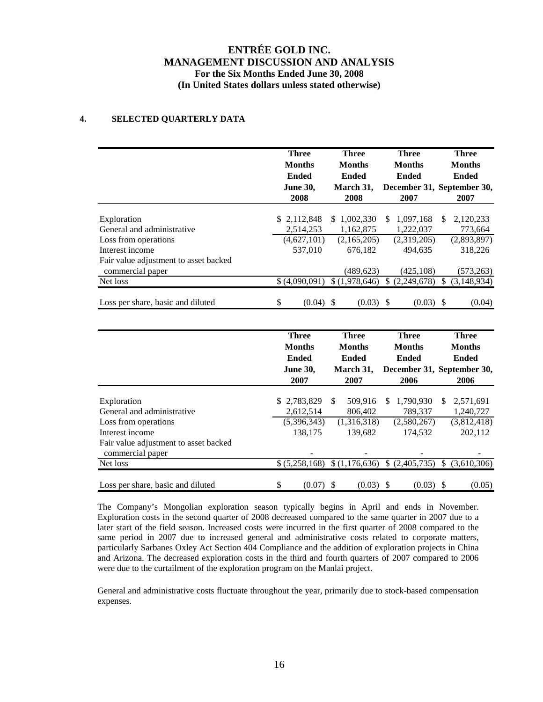## **4. SELECTED QUARTERLY DATA**

|                                                           | <b>Three</b><br><b>Months</b><br><b>Ended</b>                            | <b>Three</b><br><b>Months</b><br><b>Ended</b>                      | <b>Three</b><br><b>Months</b><br><b>Ended</b>         | <b>Three</b><br><b>Months</b><br><b>Ended</b>                                       |
|-----------------------------------------------------------|--------------------------------------------------------------------------|--------------------------------------------------------------------|-------------------------------------------------------|-------------------------------------------------------------------------------------|
|                                                           | <b>June 30,</b><br>2008                                                  | March 31,<br>2008                                                  | 2007                                                  | December 31, September 30,<br>2007                                                  |
| Exploration                                               | \$2,112,848                                                              | \$1,002,330                                                        | 1,097,168<br>\$                                       | 2,120,233<br>\$                                                                     |
| General and administrative                                | 2,514,253                                                                | 1,162,875                                                          | 1,222,037                                             | 773,664                                                                             |
| Loss from operations                                      | (4,627,101)                                                              | (2,165,205)                                                        | (2,319,205)                                           | (2,893,897)                                                                         |
| Interest income                                           | 537,010                                                                  | 676,182                                                            | 494,635                                               | 318,226                                                                             |
| Fair value adjustment to asset backed<br>commercial paper |                                                                          | (489, 623)                                                         | (425, 108)                                            | (573, 263)                                                                          |
| Net loss                                                  | \$ (4,090,091)                                                           | $\sqrt{(1,978,646)}$                                               | $\sqrt{(2,249,678)}$                                  | (3, 148, 934)<br>\$                                                                 |
|                                                           |                                                                          |                                                                    |                                                       |                                                                                     |
| Loss per share, basic and diluted                         | \$<br>$(0.04)$ \$                                                        | $(0.03)$ \$                                                        | $(0.03)$ \$                                           | (0.04)                                                                              |
|                                                           | <b>Three</b><br><b>Months</b><br><b>Ended</b><br><b>June 30,</b><br>2007 | <b>Three</b><br><b>Months</b><br><b>Ended</b><br>March 31,<br>2007 | <b>Three</b><br><b>Months</b><br><b>Ended</b><br>2006 | <b>Three</b><br><b>Months</b><br><b>Ended</b><br>December 31, September 30,<br>2006 |
| Exploration                                               | 2,783,829<br>\$.                                                         | \$<br>509,916                                                      | 1,790,930<br>S                                        | 2,571,691<br>\$                                                                     |
| General and administrative                                | 2,612,514                                                                | 806,402                                                            | 789,337                                               | 1,240,727                                                                           |
| Loss from operations                                      | (5,396,343)                                                              | (1,316,318)                                                        | (2,580,267)                                           | (3,812,418)                                                                         |
| Interest income                                           | 138,175                                                                  | 139,682                                                            | 174,532                                               | 202,112                                                                             |
| Fair value adjustment to asset backed<br>commercial paper |                                                                          |                                                                    |                                                       |                                                                                     |
| Net loss                                                  | \$ (5,258,168)                                                           | \$(1,176,636)                                                      | \$(2,405,735)                                         | $\mathbb{S}$<br>(3,610,306)                                                         |

Loss per share, basic and diluted  $\qquad$  (0.07) \$ (0.03) \$ (0.03) \$ (0.05)

The Company's Mongolian exploration season typically begins in April and ends in November. Exploration costs in the second quarter of 2008 decreased compared to the same quarter in 2007 due to a later start of the field season. Increased costs were incurred in the first quarter of 2008 compared to the same period in 2007 due to increased general and administrative costs related to corporate matters, particularly Sarbanes Oxley Act Section 404 Compliance and the addition of exploration projects in China and Arizona. The decreased exploration costs in the third and fourth quarters of 2007 compared to 2006 were due to the curtailment of the exploration program on the Manlai project.

General and administrative costs fluctuate throughout the year, primarily due to stock-based compensation expenses.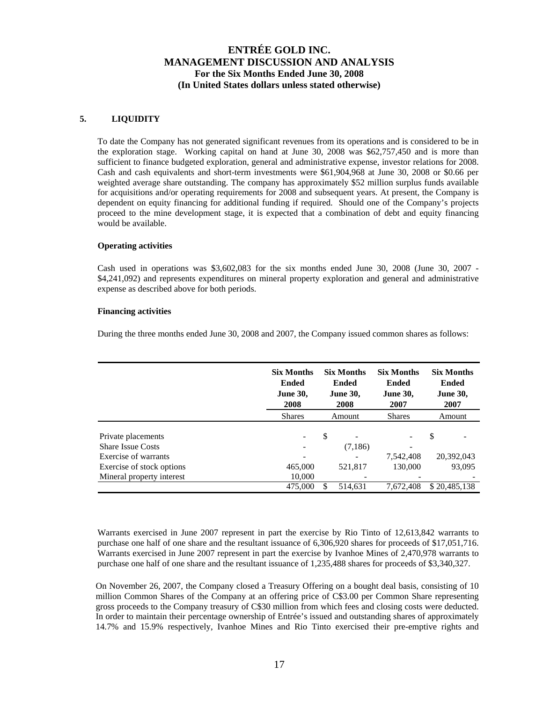## **5. LIQUIDITY**

To date the Company has not generated significant revenues from its operations and is considered to be in the exploration stage. Working capital on hand at June 30, 2008 was \$62,757,450 and is more than sufficient to finance budgeted exploration, general and administrative expense, investor relations for 2008. Cash and cash equivalents and short-term investments were \$61,904,968 at June 30, 2008 or \$0.66 per weighted average share outstanding. The company has approximately \$52 million surplus funds available for acquisitions and/or operating requirements for 2008 and subsequent years. At present, the Company is dependent on equity financing for additional funding if required. Should one of the Company's projects proceed to the mine development stage, it is expected that a combination of debt and equity financing would be available.

## **Operating activities**

Cash used in operations was \$3,602,083 for the six months ended June 30, 2008 (June 30, 2007 - \$4,241,092) and represents expenditures on mineral property exploration and general and administrative expense as described above for both periods.

## **Financing activities**

During the three months ended June 30, 2008 and 2007, the Company issued common shares as follows:

|                                                | <b>Six Months</b><br><b>Ended</b><br><b>June 30,</b><br>2008 | <b>Six Months</b><br><b>Ended</b><br><b>June 30,</b><br>2008 | <b>Six Months</b><br><b>Ended</b><br><b>June 30,</b><br>2007 | <b>Six Months</b><br><b>Ended</b><br><b>June 30,</b><br>2007 |
|------------------------------------------------|--------------------------------------------------------------|--------------------------------------------------------------|--------------------------------------------------------------|--------------------------------------------------------------|
|                                                | <b>Shares</b>                                                | Amount                                                       | <b>Shares</b>                                                | Amount                                                       |
| Private placements<br><b>Share Issue Costs</b> | $\overline{\phantom{a}}$<br>$\overline{\phantom{a}}$         | \$<br>(7,186)                                                |                                                              | \$                                                           |
| Exercise of warrants                           | $\overline{\phantom{0}}$                                     |                                                              | 7,542,408                                                    | 20,392,043                                                   |
| Exercise of stock options                      | 465,000                                                      | 521,817                                                      | 130,000                                                      | 93,095                                                       |
| Mineral property interest                      | 10,000                                                       |                                                              |                                                              |                                                              |
|                                                | 475,000                                                      | 514,631                                                      | 7,672,408                                                    | \$20,485,138                                                 |

Warrants exercised in June 2007 represent in part the exercise by Rio Tinto of 12,613,842 warrants to purchase one half of one share and the resultant issuance of 6,306,920 shares for proceeds of \$17,051,716. Warrants exercised in June 2007 represent in part the exercise by Ivanhoe Mines of 2,470,978 warrants to purchase one half of one share and the resultant issuance of 1,235,488 shares for proceeds of \$3,340,327.

On November 26, 2007, the Company closed a Treasury Offering on a bought deal basis, consisting of 10 million Common Shares of the Company at an offering price of C\$3.00 per Common Share representing gross proceeds to the Company treasury of C\$30 million from which fees and closing costs were deducted. In order to maintain their percentage ownership of Entrée's issued and outstanding shares of approximately 14.7% and 15.9% respectively, Ivanhoe Mines and Rio Tinto exercised their pre-emptive rights and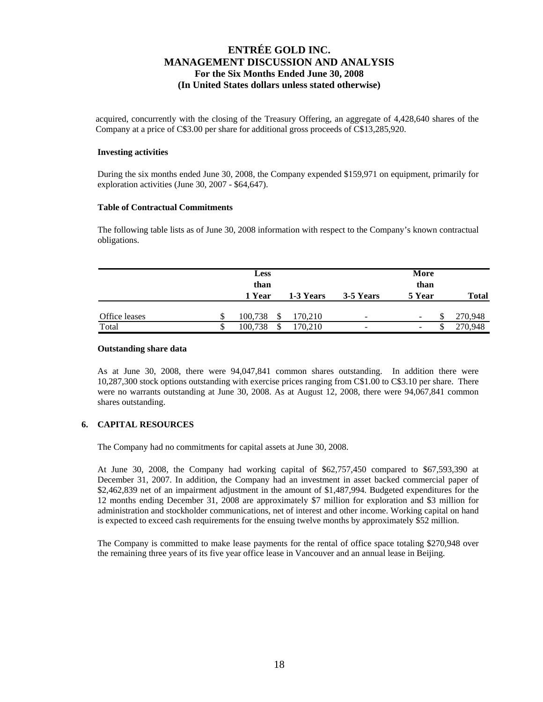acquired, concurrently with the closing of the Treasury Offering, an aggregate of 4,428,640 shares of the Company at a price of C\$3.00 per share for additional gross proceeds of C\$13,285,920.

### **Investing activities**

During the six months ended June 30, 2008, the Company expended \$159,971 on equipment, primarily for exploration activities (June 30, 2007 - \$64,647).

### **Table of Contractual Commitments**

The following table lists as of June 30, 2008 information with respect to the Company's known contractual obligations.

|               |    | <b>Less</b><br>than<br>1 Year | 1-3 Years | 3-5 Years | More<br>than<br>5 Year   | <b>Total</b> |
|---------------|----|-------------------------------|-----------|-----------|--------------------------|--------------|
| Office leases |    | 100,738                       | 170,210   | -         | P<br>-                   | 270,948      |
| Total         | J. | 100.738                       | 170.210   | -         | $\overline{\phantom{0}}$ | 270,948      |

### **Outstanding share data**

As at June 30, 2008, there were 94,047,841 common shares outstanding. In addition there were 10,287,300 stock options outstanding with exercise prices ranging from C\$1.00 to C\$3.10 per share. There were no warrants outstanding at June 30, 2008. As at August 12, 2008, there were 94,067,841 common shares outstanding.

## **6. CAPITAL RESOURCES**

The Company had no commitments for capital assets at June 30, 2008.

At June 30, 2008, the Company had working capital of \$62,757,450 compared to \$67,593,390 at December 31, 2007. In addition, the Company had an investment in asset backed commercial paper of \$2,462,839 net of an impairment adjustment in the amount of \$1,487,994. Budgeted expenditures for the 12 months ending December 31, 2008 are approximately \$7 million for exploration and \$3 million for administration and stockholder communications, net of interest and other income. Working capital on hand is expected to exceed cash requirements for the ensuing twelve months by approximately \$52 million.

The Company is committed to make lease payments for the rental of office space totaling \$270,948 over the remaining three years of its five year office lease in Vancouver and an annual lease in Beijing.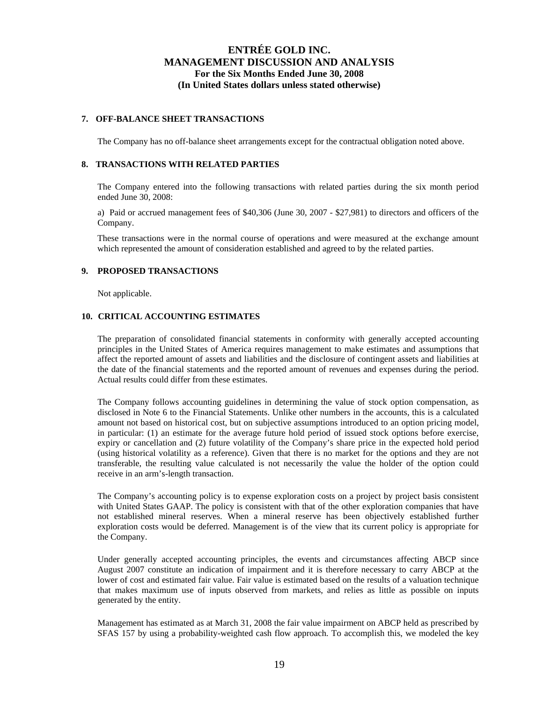### **7. OFF-BALANCE SHEET TRANSACTIONS**

The Company has no off-balance sheet arrangements except for the contractual obligation noted above.

### **8. TRANSACTIONS WITH RELATED PARTIES**

The Company entered into the following transactions with related parties during the six month period ended June 30, 2008:

a) Paid or accrued management fees of \$40,306 (June 30, 2007 - \$27,981) to directors and officers of the Company.

These transactions were in the normal course of operations and were measured at the exchange amount which represented the amount of consideration established and agreed to by the related parties.

## **9. PROPOSED TRANSACTIONS**

Not applicable.

## **10. CRITICAL ACCOUNTING ESTIMATES**

The preparation of consolidated financial statements in conformity with generally accepted accounting principles in the United States of America requires management to make estimates and assumptions that affect the reported amount of assets and liabilities and the disclosure of contingent assets and liabilities at the date of the financial statements and the reported amount of revenues and expenses during the period. Actual results could differ from these estimates.

The Company follows accounting guidelines in determining the value of stock option compensation, as disclosed in Note 6 to the Financial Statements. Unlike other numbers in the accounts, this is a calculated amount not based on historical cost, but on subjective assumptions introduced to an option pricing model, in particular: (1) an estimate for the average future hold period of issued stock options before exercise, expiry or cancellation and (2) future volatility of the Company's share price in the expected hold period (using historical volatility as a reference). Given that there is no market for the options and they are not transferable, the resulting value calculated is not necessarily the value the holder of the option could receive in an arm's-length transaction.

The Company's accounting policy is to expense exploration costs on a project by project basis consistent with United States GAAP. The policy is consistent with that of the other exploration companies that have not established mineral reserves. When a mineral reserve has been objectively established further exploration costs would be deferred. Management is of the view that its current policy is appropriate for the Company.

Under generally accepted accounting principles, the events and circumstances affecting ABCP since August 2007 constitute an indication of impairment and it is therefore necessary to carry ABCP at the lower of cost and estimated fair value. Fair value is estimated based on the results of a valuation technique that makes maximum use of inputs observed from markets, and relies as little as possible on inputs generated by the entity.

Management has estimated as at March 31, 2008 the fair value impairment on ABCP held as prescribed by SFAS 157 by using a probability-weighted cash flow approach. To accomplish this, we modeled the key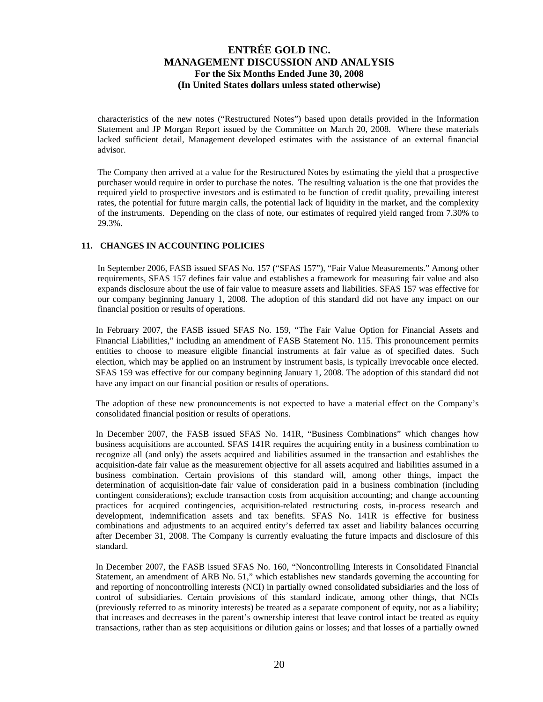characteristics of the new notes ("Restructured Notes") based upon details provided in the Information Statement and JP Morgan Report issued by the Committee on March 20, 2008. Where these materials lacked sufficient detail, Management developed estimates with the assistance of an external financial advisor.

The Company then arrived at a value for the Restructured Notes by estimating the yield that a prospective purchaser would require in order to purchase the notes. The resulting valuation is the one that provides the required yield to prospective investors and is estimated to be function of credit quality, prevailing interest rates, the potential for future margin calls, the potential lack of liquidity in the market, and the complexity of the instruments. Depending on the class of note, our estimates of required yield ranged from 7.30% to 29.3%.

## **11. CHANGES IN ACCOUNTING POLICIES**

In September 2006, FASB issued SFAS No. 157 ("SFAS 157"), "Fair Value Measurements." Among other requirements, SFAS 157 defines fair value and establishes a framework for measuring fair value and also expands disclosure about the use of fair value to measure assets and liabilities. SFAS 157 was effective for our company beginning January 1, 2008. The adoption of this standard did not have any impact on our financial position or results of operations.

In February 2007, the FASB issued SFAS No. 159, "The Fair Value Option for Financial Assets and Financial Liabilities," including an amendment of FASB Statement No. 115. This pronouncement permits entities to choose to measure eligible financial instruments at fair value as of specified dates. Such election, which may be applied on an instrument by instrument basis, is typically irrevocable once elected. SFAS 159 was effective for our company beginning January 1, 2008. The adoption of this standard did not have any impact on our financial position or results of operations.

The adoption of these new pronouncements is not expected to have a material effect on the Company's consolidated financial position or results of operations.

In December 2007, the FASB issued SFAS No. 141R, "Business Combinations" which changes how business acquisitions are accounted. SFAS 141R requires the acquiring entity in a business combination to recognize all (and only) the assets acquired and liabilities assumed in the transaction and establishes the acquisition-date fair value as the measurement objective for all assets acquired and liabilities assumed in a business combination. Certain provisions of this standard will, among other things, impact the determination of acquisition-date fair value of consideration paid in a business combination (including contingent considerations); exclude transaction costs from acquisition accounting; and change accounting practices for acquired contingencies, acquisition-related restructuring costs, in-process research and development, indemnification assets and tax benefits. SFAS No. 141R is effective for business combinations and adjustments to an acquired entity's deferred tax asset and liability balances occurring after December 31, 2008. The Company is currently evaluating the future impacts and disclosure of this standard.

In December 2007, the FASB issued SFAS No. 160, "Noncontrolling Interests in Consolidated Financial Statement, an amendment of ARB No. 51," which establishes new standards governing the accounting for and reporting of noncontrolling interests (NCI) in partially owned consolidated subsidiaries and the loss of control of subsidiaries. Certain provisions of this standard indicate, among other things, that NCIs (previously referred to as minority interests) be treated as a separate component of equity, not as a liability; that increases and decreases in the parent's ownership interest that leave control intact be treated as equity transactions, rather than as step acquisitions or dilution gains or losses; and that losses of a partially owned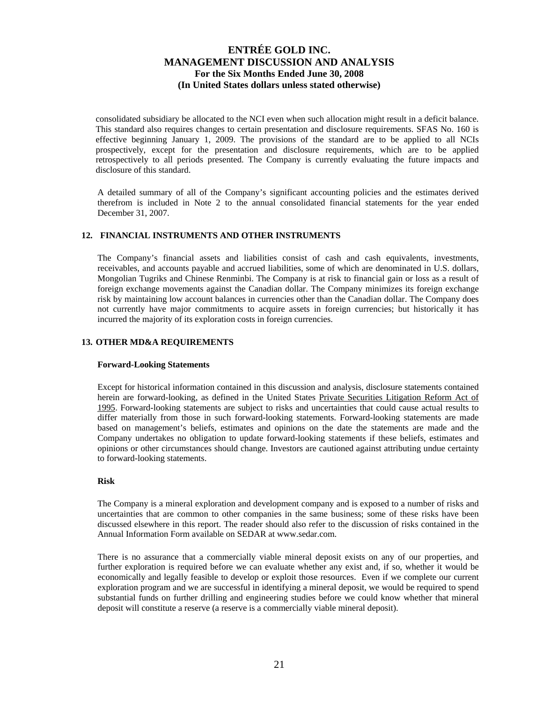consolidated subsidiary be allocated to the NCI even when such allocation might result in a deficit balance. This standard also requires changes to certain presentation and disclosure requirements. SFAS No. 160 is effective beginning January 1, 2009. The provisions of the standard are to be applied to all NCIs prospectively, except for the presentation and disclosure requirements, which are to be applied retrospectively to all periods presented. The Company is currently evaluating the future impacts and disclosure of this standard.

A detailed summary of all of the Company's significant accounting policies and the estimates derived therefrom is included in Note 2 to the annual consolidated financial statements for the year ended December 31, 2007.

## **12. FINANCIAL INSTRUMENTS AND OTHER INSTRUMENTS**

The Company's financial assets and liabilities consist of cash and cash equivalents, investments, receivables, and accounts payable and accrued liabilities, some of which are denominated in U.S. dollars, Mongolian Tugriks and Chinese Renminbi. The Company is at risk to financial gain or loss as a result of foreign exchange movements against the Canadian dollar. The Company minimizes its foreign exchange risk by maintaining low account balances in currencies other than the Canadian dollar. The Company does not currently have major commitments to acquire assets in foreign currencies; but historically it has incurred the majority of its exploration costs in foreign currencies.

## **13. OTHER MD&A REQUIREMENTS**

### **Forward-Looking Statements**

Except for historical information contained in this discussion and analysis, disclosure statements contained herein are forward-looking, as defined in the United States Private Securities Litigation Reform Act of 1995. Forward-looking statements are subject to risks and uncertainties that could cause actual results to differ materially from those in such forward-looking statements. Forward-looking statements are made based on management's beliefs, estimates and opinions on the date the statements are made and the Company undertakes no obligation to update forward-looking statements if these beliefs, estimates and opinions or other circumstances should change. Investors are cautioned against attributing undue certainty to forward-looking statements.

### **Risk**

The Company is a mineral exploration and development company and is exposed to a number of risks and uncertainties that are common to other companies in the same business; some of these risks have been discussed elsewhere in this report. The reader should also refer to the discussion of risks contained in the Annual Information Form available on SEDAR at www.sedar.com.

There is no assurance that a commercially viable mineral deposit exists on any of our properties, and further exploration is required before we can evaluate whether any exist and, if so, whether it would be economically and legally feasible to develop or exploit those resources. Even if we complete our current exploration program and we are successful in identifying a mineral deposit, we would be required to spend substantial funds on further drilling and engineering studies before we could know whether that mineral deposit will constitute a reserve (a reserve is a commercially viable mineral deposit).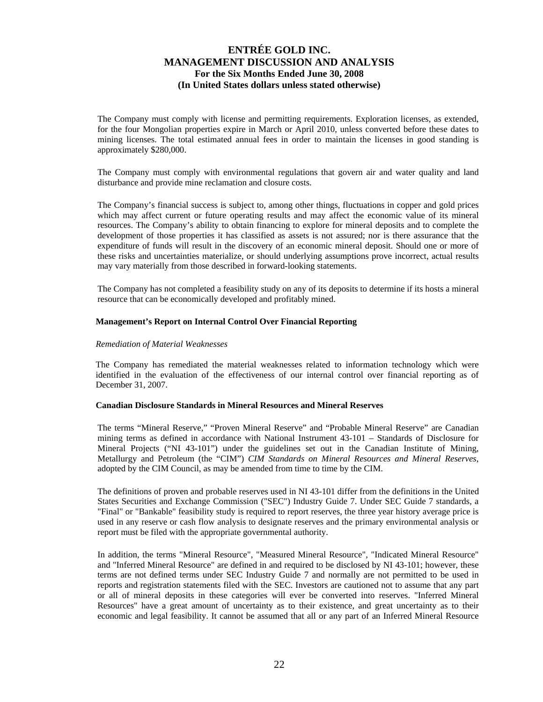The Company must comply with license and permitting requirements. Exploration licenses, as extended, for the four Mongolian properties expire in March or April 2010, unless converted before these dates to mining licenses. The total estimated annual fees in order to maintain the licenses in good standing is approximately \$280,000.

The Company must comply with environmental regulations that govern air and water quality and land disturbance and provide mine reclamation and closure costs.

The Company's financial success is subject to, among other things, fluctuations in copper and gold prices which may affect current or future operating results and may affect the economic value of its mineral resources. The Company's ability to obtain financing to explore for mineral deposits and to complete the development of those properties it has classified as assets is not assured; nor is there assurance that the expenditure of funds will result in the discovery of an economic mineral deposit. Should one or more of these risks and uncertainties materialize, or should underlying assumptions prove incorrect, actual results may vary materially from those described in forward-looking statements.

The Company has not completed a feasibility study on any of its deposits to determine if its hosts a mineral resource that can be economically developed and profitably mined.

## **Management's Report on Internal Control Over Financial Reporting**

### *Remediation of Material Weaknesses*

The Company has remediated the material weaknesses related to information technology which were identified in the evaluation of the effectiveness of our internal control over financial reporting as of December 31, 2007.

### **Canadian Disclosure Standards in Mineral Resources and Mineral Reserves**

The terms "Mineral Reserve," "Proven Mineral Reserve" and "Probable Mineral Reserve" are Canadian mining terms as defined in accordance with National Instrument 43-101 – Standards of Disclosure for Mineral Projects ("NI 43-101") under the guidelines set out in the Canadian Institute of Mining, Metallurgy and Petroleum (the "CIM") *CIM Standards on Mineral Resources and Mineral Reserves*, adopted by the CIM Council, as may be amended from time to time by the CIM.

The definitions of proven and probable reserves used in NI 43-101 differ from the definitions in the United States Securities and Exchange Commission ("SEC") Industry Guide 7. Under SEC Guide 7 standards, a "Final" or "Bankable" feasibility study is required to report reserves, the three year history average price is used in any reserve or cash flow analysis to designate reserves and the primary environmental analysis or report must be filed with the appropriate governmental authority.

In addition, the terms "Mineral Resource", "Measured Mineral Resource", "Indicated Mineral Resource" and "Inferred Mineral Resource" are defined in and required to be disclosed by NI 43-101; however, these terms are not defined terms under SEC Industry Guide 7 and normally are not permitted to be used in reports and registration statements filed with the SEC. Investors are cautioned not to assume that any part or all of mineral deposits in these categories will ever be converted into reserves. "Inferred Mineral Resources" have a great amount of uncertainty as to their existence, and great uncertainty as to their economic and legal feasibility. It cannot be assumed that all or any part of an Inferred Mineral Resource